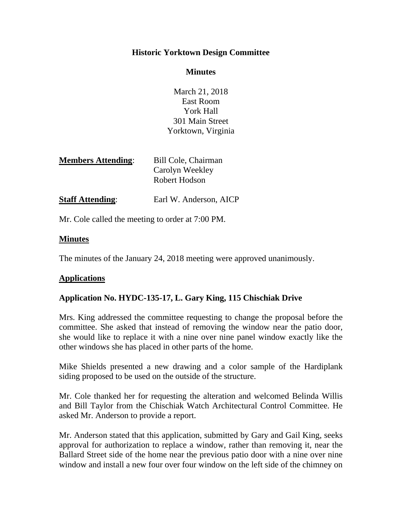# **Historic Yorktown Design Committee**

### **Minutes**

March 21, 2018 East Room York Hall 301 Main Street Yorktown, Virginia

| Bill Cole, Chairman |
|---------------------|
| Carolyn Weekley     |
| Robert Hodson       |
|                     |

**Staff Attending:** Earl W. Anderson, AICP

Mr. Cole called the meeting to order at 7:00 PM.

# **Minutes**

The minutes of the January 24, 2018 meeting were approved unanimously.

# **Applications**

# **Application No. HYDC-135-17, L. Gary King, 115 Chischiak Drive**

Mrs. King addressed the committee requesting to change the proposal before the committee. She asked that instead of removing the window near the patio door, she would like to replace it with a nine over nine panel window exactly like the other windows she has placed in other parts of the home.

Mike Shields presented a new drawing and a color sample of the Hardiplank siding proposed to be used on the outside of the structure.

Mr. Cole thanked her for requesting the alteration and welcomed Belinda Willis and Bill Taylor from the Chischiak Watch Architectural Control Committee. He asked Mr. Anderson to provide a report.

Mr. Anderson stated that this application, submitted by Gary and Gail King, seeks approval for authorization to replace a window, rather than removing it, near the Ballard Street side of the home near the previous patio door with a nine over nine window and install a new four over four window on the left side of the chimney on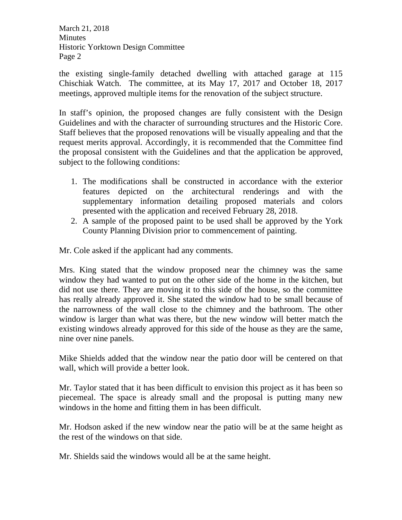March 21, 2018 Minutes Historic Yorktown Design Committee Page 2

the existing single-family detached dwelling with attached garage at 115 Chischiak Watch. The committee, at its May 17, 2017 and October 18, 2017 meetings, approved multiple items for the renovation of the subject structure.

In staff's opinion, the proposed changes are fully consistent with the Design Guidelines and with the character of surrounding structures and the Historic Core. Staff believes that the proposed renovations will be visually appealing and that the request merits approval. Accordingly, it is recommended that the Committee find the proposal consistent with the Guidelines and that the application be approved, subject to the following conditions:

- 1. The modifications shall be constructed in accordance with the exterior features depicted on the architectural renderings and with the supplementary information detailing proposed materials and colors presented with the application and received February 28, 2018.
- 2. A sample of the proposed paint to be used shall be approved by the York County Planning Division prior to commencement of painting.

Mr. Cole asked if the applicant had any comments.

Mrs. King stated that the window proposed near the chimney was the same window they had wanted to put on the other side of the home in the kitchen, but did not use there. They are moving it to this side of the house, so the committee has really already approved it. She stated the window had to be small because of the narrowness of the wall close to the chimney and the bathroom. The other window is larger than what was there, but the new window will better match the existing windows already approved for this side of the house as they are the same, nine over nine panels.

Mike Shields added that the window near the patio door will be centered on that wall, which will provide a better look.

Mr. Taylor stated that it has been difficult to envision this project as it has been so piecemeal. The space is already small and the proposal is putting many new windows in the home and fitting them in has been difficult.

Mr. Hodson asked if the new window near the patio will be at the same height as the rest of the windows on that side.

Mr. Shields said the windows would all be at the same height.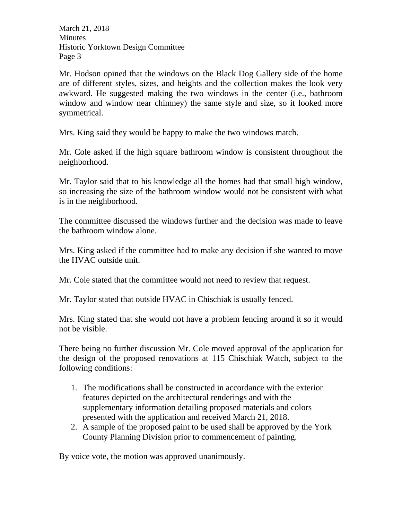March 21, 2018 Minutes Historic Yorktown Design Committee Page 3

Mr. Hodson opined that the windows on the Black Dog Gallery side of the home are of different styles, sizes, and heights and the collection makes the look very awkward. He suggested making the two windows in the center (i.e., bathroom window and window near chimney) the same style and size, so it looked more symmetrical.

Mrs. King said they would be happy to make the two windows match.

Mr. Cole asked if the high square bathroom window is consistent throughout the neighborhood.

Mr. Taylor said that to his knowledge all the homes had that small high window, so increasing the size of the bathroom window would not be consistent with what is in the neighborhood.

The committee discussed the windows further and the decision was made to leave the bathroom window alone.

Mrs. King asked if the committee had to make any decision if she wanted to move the HVAC outside unit.

Mr. Cole stated that the committee would not need to review that request.

Mr. Taylor stated that outside HVAC in Chischiak is usually fenced.

Mrs. King stated that she would not have a problem fencing around it so it would not be visible.

There being no further discussion Mr. Cole moved approval of the application for the design of the proposed renovations at 115 Chischiak Watch, subject to the following conditions:

- 1. The modifications shall be constructed in accordance with the exterior features depicted on the architectural renderings and with the supplementary information detailing proposed materials and colors presented with the application and received March 21, 2018.
- 2. A sample of the proposed paint to be used shall be approved by the York County Planning Division prior to commencement of painting.

By voice vote, the motion was approved unanimously.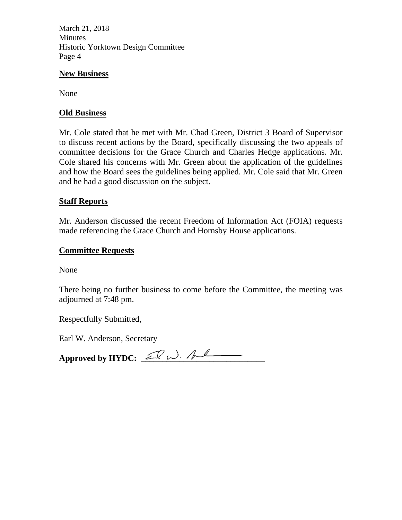March 21, 2018 Minutes Historic Yorktown Design Committee Page 4

#### **New Business**

None

### **Old Business**

Mr. Cole stated that he met with Mr. Chad Green, District 3 Board of Supervisor to discuss recent actions by the Board, specifically discussing the two appeals of committee decisions for the Grace Church and Charles Hedge applications. Mr. Cole shared his concerns with Mr. Green about the application of the guidelines and how the Board sees the guidelines being applied. Mr. Cole said that Mr. Green and he had a good discussion on the subject.

### **Staff Reports**

Mr. Anderson discussed the recent Freedom of Information Act (FOIA) requests made referencing the Grace Church and Hornsby House applications.

#### **Committee Requests**

None

There being no further business to come before the Committee, the meeting was adjourned at 7:48 pm.

Respectfully Submitted,

Earl W. Anderson, Secretary

Approved by HYDC:  $\mathcal{L}$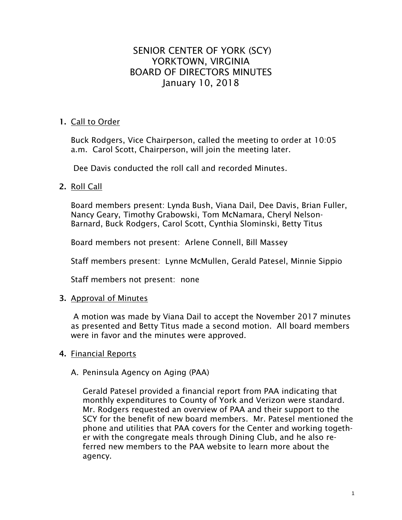# SENIOR CENTER OF YORK (SCY) YORKTOWN, VIRGINIA BOARD OF DIRECTORS MINUTES January 10, 2018

# **1.** Call to Order

Buck Rodgers, Vice Chairperson, called the meeting to order at 10:05 a.m. Carol Scott, Chairperson, will join the meeting later.

Dee Davis conducted the roll call and recorded Minutes.

# **2.** Roll Call

Board members present: Lynda Bush, Viana Dail, Dee Davis, Brian Fuller, Nancy Geary, Timothy Grabowski, Tom McNamara, Cheryl Nelson-Barnard, Buck Rodgers, Carol Scott, Cynthia Slominski, Betty Titus

Board members not present: Arlene Connell, Bill Massey

Staff members present: Lynne McMullen, Gerald Patesel, Minnie Sippio

Staff members not present: none

# **3.** Approval of Minutes

A motion was made by Viana Dail to accept the November 2017 minutes as presented and Betty Titus made a second motion. All board members were in favor and the minutes were approved.

# **4.** Financial Reports

#### A. Peninsula Agency on Aging (PAA)

Gerald Patesel provided a financial report from PAA indicating that monthly expenditures to County of York and Verizon were standard. Mr. Rodgers requested an overview of PAA and their support to the SCY for the benefit of new board members. Mr. Patesel mentioned the phone and utilities that PAA covers for the Center and working together with the congregate meals through Dining Club, and he also referred new members to the PAA website to learn more about the agency.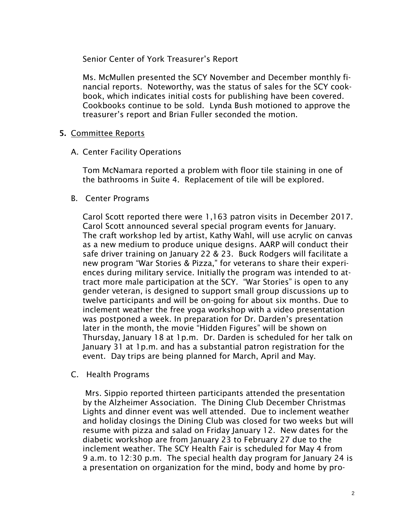Senior Center of York Treasurer's Report

Ms. McMullen presented the SCY November and December monthly financial reports. Noteworthy, was the status of sales for the SCY cookbook, which indicates initial costs for publishing have been covered. Cookbooks continue to be sold. Lynda Bush motioned to approve the treasurer's report and Brian Fuller seconded the motion.

# **5.** Committee Reports

A. Center Facility Operations

Tom McNamara reported a problem with floor tile staining in one of the bathrooms in Suite 4. Replacement of tile will be explored.

B. Center Programs

Carol Scott reported there were 1,163 patron visits in December 2017. Carol Scott announced several special program events for January. The craft workshop led by artist, Kathy Wahl, will use acrylic on canvas as a new medium to produce unique designs. AARP will conduct their safe driver training on January 22 & 23. Buck Rodgers will facilitate a new program "War Stories & Pizza," for veterans to share their experiences during military service. Initially the program was intended to attract more male participation at the SCY. "War Stories" is open to any gender veteran, is designed to support small group discussions up to twelve participants and will be on-going for about six months. Due to inclement weather the free yoga workshop with a video presentation was postponed a week. In preparation for Dr. Darden's presentation later in the month, the movie "Hidden Figures" will be shown on Thursday, January 18 at 1p.m. Dr. Darden is scheduled for her talk on January 31 at 1p.m. and has a substantial patron registration for the event. Day trips are being planned for March, April and May.

C. Health Programs

Mrs. Sippio reported thirteen participants attended the presentation by the Alzheimer Association. The Dining Club December Christmas Lights and dinner event was well attended. Due to inclement weather and holiday closings the Dining Club was closed for two weeks but will resume with pizza and salad on Friday January 12. New dates for the diabetic workshop are from January 23 to February 27 due to the inclement weather. The SCY Health Fair is scheduled for May 4 from 9 a.m. to 12:30 p.m. The special health day program for January 24 is a presentation on organization for the mind, body and home by pro-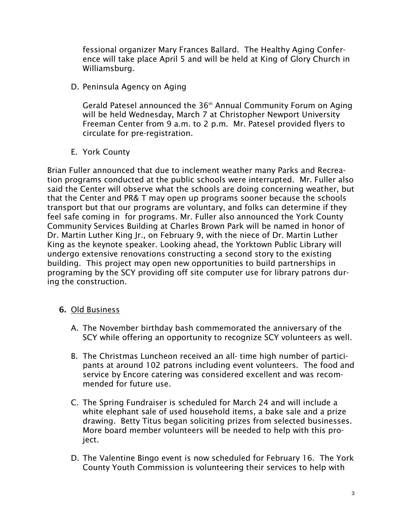fessional organizer Mary Frances Ballard. The Healthy Aging Conference will take place April 5 and will be held at King of Glory Church in Williamsburg.

D. Peninsula Agency on Aging

Gerald Patesel announced the 36th Annual Community Forum on Aging will be held Wednesday, March 7 at Christopher Newport University Freeman Center from 9 a.m. to 2 p.m. Mr. Patesel provided flyers to circulate for pre-registration.

E. York County

Brian Fuller announced that due to inclement weather many Parks and Recreation programs conducted at the public schools were interrupted. Mr. Fuller also said the Center will observe what the schools are doing concerning weather, but that the Center and PR& T may open up programs sooner because the schools transport but that our programs are voluntary, and folks can determine if they feel safe coming in for programs. Mr. Fuller also announced the York County Community Services Building at Charles Brown Park will be named in honor of Dr. Martin Luther King Jr., on February 9, with the niece of Dr. Martin Luther King as the keynote speaker. Looking ahead, the Yorktown Public Library will undergo extensive renovations constructing a second story to the existing building. This project may open new opportunities to build partnerships in programing by the SCY providing off site computer use for library patrons during the construction.

- **6.** Old Business
	- A. The November birthday bash commemorated the anniversary of the SCY while offering an opportunity to recognize SCY volunteers as well.
	- B. The Christmas Luncheon received an all- time high number of participants at around 102 patrons including event volunteers. The food and service by Encore catering was considered excellent and was recommended for future use.
	- C. The Spring Fundraiser is scheduled for March 24 and will include a white elephant sale of used household items, a bake sale and a prize drawing. Betty Titus began soliciting prizes from selected businesses. More board member volunteers will be needed to help with this project.
	- D. The Valentine Bingo event is now scheduled for February 16. The York County Youth Commission is volunteering their services to help with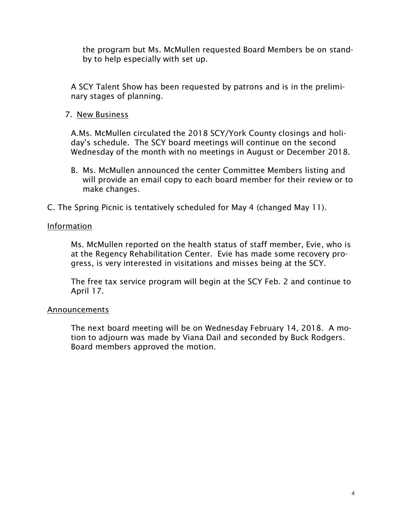the program but Ms. McMullen requested Board Members be on standby to help especially with set up.

A SCY Talent Show has been requested by patrons and is in the preliminary stages of planning.

7. New Business

A.Ms. McMullen circulated the 2018 SCY/York County closings and holiday's schedule. The SCY board meetings will continue on the second Wednesday of the month with no meetings in August or December 2018.

B. Ms. McMullen announced the center Committee Members listing and will provide an email copy to each board member for their review or to make changes.

C. The Spring Picnic is tentatively scheduled for May 4 (changed May 11).

### Information

Ms. McMullen reported on the health status of staff member, Evie, who is at the Regency Rehabilitation Center. Evie has made some recovery progress, is very interested in visitations and misses being at the SCY.

The free tax service program will begin at the SCY Feb. 2 and continue to April 17.

#### Announcements

The next board meeting will be on Wednesday February 14, 2018. A motion to adjourn was made by Viana Dail and seconded by Buck Rodgers. Board members approved the motion.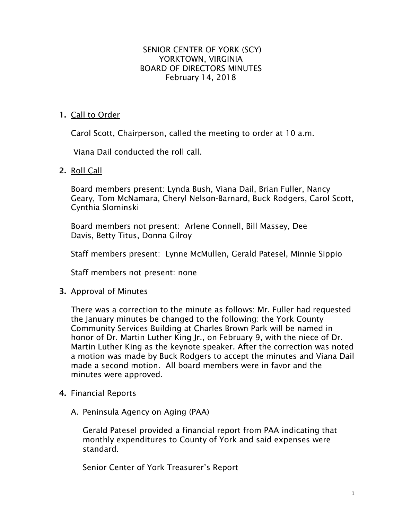### SENIOR CENTER OF YORK (SCY) YORKTOWN, VIRGINIA BOARD OF DIRECTORS MINUTES February 14, 2018

# **1.** Call to Order

Carol Scott, Chairperson, called the meeting to order at 10 a.m.

Viana Dail conducted the roll call.

### **2.** Roll Call

Board members present: Lynda Bush, Viana Dail, Brian Fuller, Nancy Geary, Tom McNamara, Cheryl Nelson-Barnard, Buck Rodgers, Carol Scott, Cynthia Slominski

Board members not present: Arlene Connell, Bill Massey, Dee Davis, Betty Titus, Donna Gilroy

Staff members present: Lynne McMullen, Gerald Patesel, Minnie Sippio

Staff members not present: none

# **3.** Approval of Minutes

There was a correction to the minute as follows: Mr. Fuller had requested the January minutes be changed to the following: the York County Community Services Building at Charles Brown Park will be named in honor of Dr. Martin Luther King Jr., on February 9, with the niece of Dr. Martin Luther King as the keynote speaker. After the correction was noted a motion was made by Buck Rodgers to accept the minutes and Viana Dail made a second motion. All board members were in favor and the minutes were approved.

#### **4.** Financial Reports

A. Peninsula Agency on Aging (PAA)

Gerald Patesel provided a financial report from PAA indicating that monthly expenditures to County of York and said expenses were standard.

Senior Center of York Treasurer's Report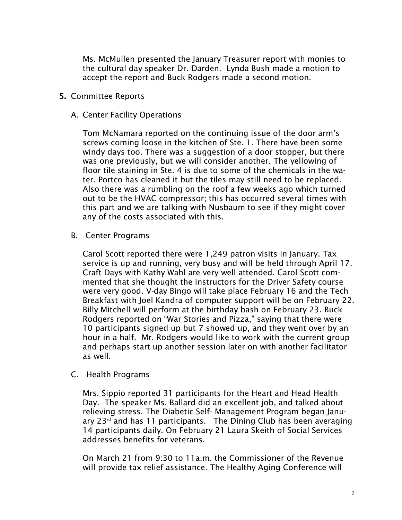Ms. McMullen presented the January Treasurer report with monies to the cultural day speaker Dr. Darden. Lynda Bush made a motion to accept the report and Buck Rodgers made a second motion.

### **5.** Committee Reports

#### A. Center Facility Operations

Tom McNamara reported on the continuing issue of the door arm's screws coming loose in the kitchen of Ste. 1. There have been some windy days too. There was a suggestion of a door stopper, but there was one previously, but we will consider another. The yellowing of floor tile staining in Ste. 4 is due to some of the chemicals in the water. Portco has cleaned it but the tiles may still need to be replaced. Also there was a rumbling on the roof a few weeks ago which turned out to be the HVAC compressor; this has occurred several times with this part and we are talking with Nusbaum to see if they might cover any of the costs associated with this.

B. Center Programs

Carol Scott reported there were 1,249 patron visits in January. Tax service is up and running, very busy and will be held through April 17. Craft Days with Kathy Wahl are very well attended. Carol Scott commented that she thought the instructors for the Driver Safety course were very good. V-day Bingo will take place February 16 and the Tech Breakfast with Joel Kandra of computer support will be on February 22. Billy Mitchell will perform at the birthday bash on February 23. Buck Rodgers reported on "War Stories and Pizza," saying that there were 10 participants signed up but 7 showed up, and they went over by an hour in a half. Mr. Rodgers would like to work with the current group and perhaps start up another session later on with another facilitator as well.

#### C. Health Programs

Mrs. Sippio reported 31 participants for the Heart and Head Health Day. The speaker Ms. Ballard did an excellent job, and talked about relieving stress. The Diabetic Self- Management Program began January  $23<sup>rd</sup>$  and has 11 participants. The Dining Club has been averaging 14 participants daily. On February 21 Laura Skeith of Social Services addresses benefits for veterans.

On March 21 from 9:30 to 11a.m. the Commissioner of the Revenue will provide tax relief assistance. The Healthy Aging Conference will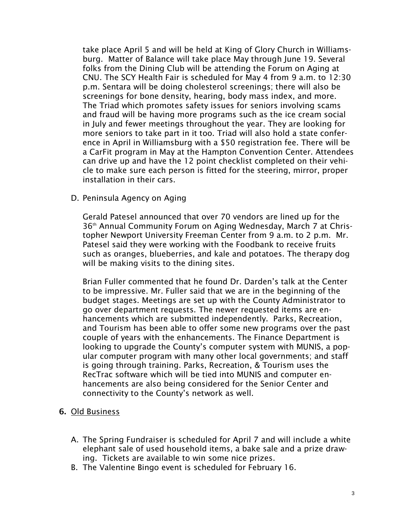take place April 5 and will be held at King of Glory Church in Williamsburg. Matter of Balance will take place May through June 19. Several folks from the Dining Club will be attending the Forum on Aging at CNU. The SCY Health Fair is scheduled for May 4 from 9 a.m. to 12:30 p.m. Sentara will be doing cholesterol screenings; there will also be screenings for bone density, hearing, body mass index, and more. The Triad which promotes safety issues for seniors involving scams and fraud will be having more programs such as the ice cream social in July and fewer meetings throughout the year. They are looking for more seniors to take part in it too. Triad will also hold a state conference in April in Williamsburg with a \$50 registration fee. There will be a CarFit program in May at the Hampton Convention Center. Attendees can drive up and have the 12 point checklist completed on their vehicle to make sure each person is fitted for the steering, mirror, proper installation in their cars.

### D. Peninsula Agency on Aging

Gerald Patesel announced that over 70 vendors are lined up for the 36th Annual Community Forum on Aging Wednesday, March 7 at Christopher Newport University Freeman Center from 9 a.m. to 2 p.m. Mr. Patesel said they were working with the Foodbank to receive fruits such as oranges, blueberries, and kale and potatoes. The therapy dog will be making visits to the dining sites.

Brian Fuller commented that he found Dr. Darden's talk at the Center to be impressive. Mr. Fuller said that we are in the beginning of the budget stages. Meetings are set up with the County Administrator to go over department requests. The newer requested items are enhancements which are submitted independently. Parks, Recreation, and Tourism has been able to offer some new programs over the past couple of years with the enhancements. The Finance Department is looking to upgrade the County's computer system with MUNIS, a popular computer program with many other local governments; and staff is going through training. Parks, Recreation, & Tourism uses the RecTrac software which will be tied into MUNIS and computer enhancements are also being considered for the Senior Center and connectivity to the County's network as well.

# **6.** Old Business

- A. The Spring Fundraiser is scheduled for April 7 and will include a white elephant sale of used household items, a bake sale and a prize drawing. Tickets are available to win some nice prizes.
- B. The Valentine Bingo event is scheduled for February 16.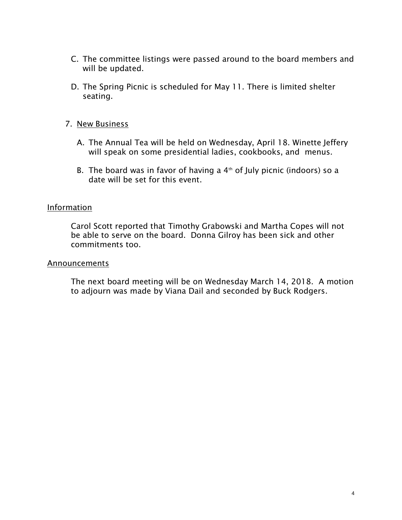- C. The committee listings were passed around to the board members and will be updated.
- D. The Spring Picnic is scheduled for May 11. There is limited shelter seating.

### 7. New Business

- A. The Annual Tea will be held on Wednesday, April 18. Winette Jeffery will speak on some presidential ladies, cookbooks, and menus.
- B. The board was in favor of having a  $4<sup>th</sup>$  of July picnic (indoors) so a date will be set for this event.

#### **Information**

Carol Scott reported that Timothy Grabowski and Martha Copes will not be able to serve on the board. Donna Gilroy has been sick and other commitments too.

#### **Announcements**

The next board meeting will be on Wednesday March 14, 2018. A motion to adjourn was made by Viana Dail and seconded by Buck Rodgers.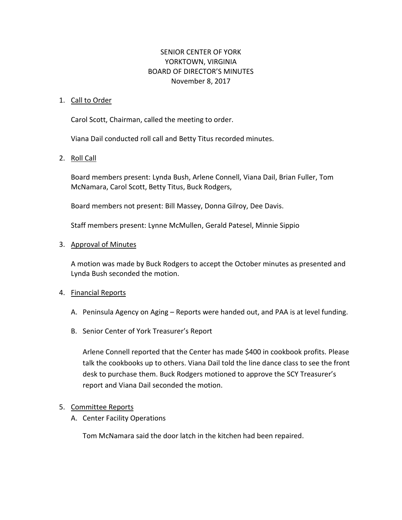### SENIOR CENTER OF YORK YORKTOWN, VIRGINIA BOARD OF DIRECTOR'S MINUTES November 8, 2017

#### 1. Call to Order

Carol Scott, Chairman, called the meeting to order.

Viana Dail conducted roll call and Betty Titus recorded minutes.

#### 2. Roll Call

Board members present: Lynda Bush, Arlene Connell, Viana Dail, Brian Fuller, Tom McNamara, Carol Scott, Betty Titus, Buck Rodgers,

Board members not present: Bill Massey, Donna Gilroy, Dee Davis.

Staff members present: Lynne McMullen, Gerald Patesel, Minnie Sippio

#### 3. Approval of Minutes

A motion was made by Buck Rodgers to accept the October minutes as presented and Lynda Bush seconded the motion.

#### 4. Financial Reports

- A. Peninsula Agency on Aging Reports were handed out, and PAA is at level funding.
- B. Senior Center of York Treasurer's Report

Arlene Connell reported that the Center has made \$400 in cookbook profits. Please talk the cookbooks up to others. Viana Dail told the line dance class to see the front desk to purchase them. Buck Rodgers motioned to approve the SCY Treasurer's report and Viana Dail seconded the motion.

#### 5. Committee Reports

A. Center Facility Operations

Tom McNamara said the door latch in the kitchen had been repaired.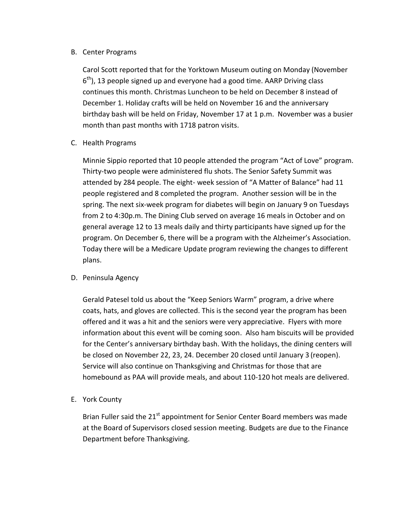#### B. Center Programs

Carol Scott reported that for the Yorktown Museum outing on Monday (November  $6<sup>th</sup>$ ), 13 people signed up and everyone had a good time. AARP Driving class continues this month. Christmas Luncheon to be held on December 8 instead of December 1. Holiday crafts will be held on November 16 and the anniversary birthday bash will be held on Friday, November 17 at 1 p.m. November was a busier month than past months with 1718 patron visits.

C. Health Programs

Minnie Sippio reported that 10 people attended the program "Act of Love" program. Thirty-two people were administered flu shots. The Senior Safety Summit was attended by 284 people. The eight- week session of "A Matter of Balance" had 11 people registered and 8 completed the program. Another session will be in the spring. The next six-week program for diabetes will begin on January 9 on Tuesdays from 2 to 4:30p.m. The Dining Club served on average 16 meals in October and on general average 12 to 13 meals daily and thirty participants have signed up for the program. On December 6, there will be a program with the Alzheimer's Association. Today there will be a Medicare Update program reviewing the changes to different plans.

D. Peninsula Agency

Gerald Patesel told us about the "Keep Seniors Warm" program, a drive where coats, hats, and gloves are collected. This is the second year the program has been offered and it was a hit and the seniors were very appreciative. Flyers with more information about this event will be coming soon. Also ham biscuits will be provided for the Center's anniversary birthday bash. With the holidays, the dining centers will be closed on November 22, 23, 24. December 20 closed until January 3 (reopen). Service will also continue on Thanksgiving and Christmas for those that are homebound as PAA will provide meals, and about 110-120 hot meals are delivered.

E. York County

Brian Fuller said the  $21^{st}$  appointment for Senior Center Board members was made at the Board of Supervisors closed session meeting. Budgets are due to the Finance Department before Thanksgiving.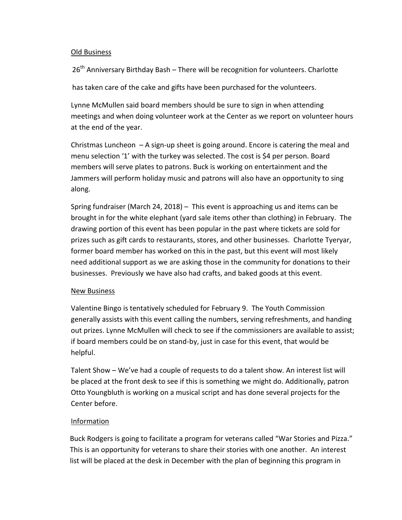#### Old Business

26<sup>th</sup> Anniversary Birthday Bash – There will be recognition for volunteers. Charlotte

has taken care of the cake and gifts have been purchased for the volunteers.

Lynne McMullen said board members should be sure to sign in when attending meetings and when doing volunteer work at the Center as we report on volunteer hours at the end of the year.

Christmas Luncheon  $-A$  sign-up sheet is going around. Encore is catering the meal and menu selection '1' with the turkey was selected. The cost is \$4 per person. Board members will serve plates to patrons. Buck is working on entertainment and the Jammers will perform holiday music and patrons will also have an opportunity to sing along.

Spring fundraiser (March 24, 2018) – This event is approaching us and items can be brought in for the white elephant (yard sale items other than clothing) in February. The drawing portion of this event has been popular in the past where tickets are sold for prizes such as gift cards to restaurants, stores, and other businesses. Charlotte Tyeryar, former board member has worked on this in the past, but this event will most likely need additional support as we are asking those in the community for donations to their businesses. Previously we have also had crafts, and baked goods at this event.

#### New Business

Valentine Bingo is tentatively scheduled for February 9. The Youth Commission generally assists with this event calling the numbers, serving refreshments, and handing out prizes. Lynne McMullen will check to see if the commissioners are available to assist; if board members could be on stand-by, just in case for this event, that would be helpful.

Talent Show – We've had a couple of requests to do a talent show. An interest list will be placed at the front desk to see if this is something we might do. Additionally, patron Otto Youngbluth is working on a musical script and has done several projects for the Center before.

#### Information

Buck Rodgers is going to facilitate a program for veterans called "War Stories and Pizza." This is an opportunity for veterans to share their stories with one another. An interest list will be placed at the desk in December with the plan of beginning this program in